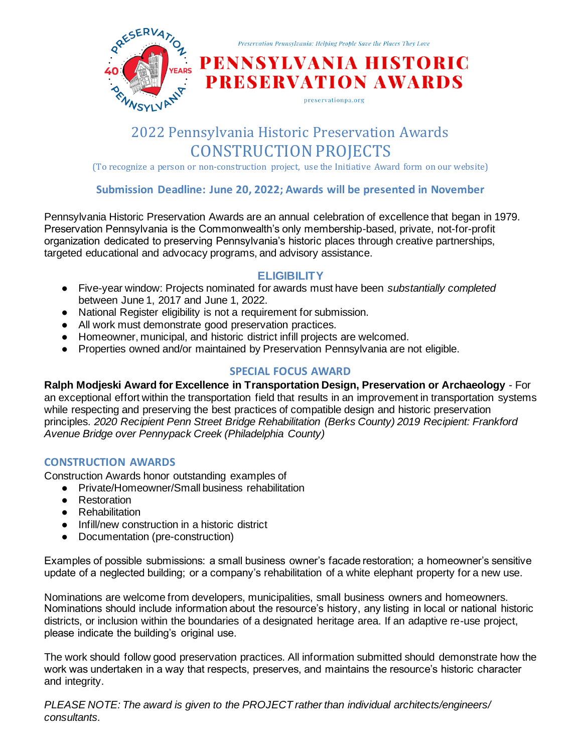

# 2022 Pennsylvania Historic Preservation Awards CONSTRUCTION PROJECTS

(To recognize a person or non-construction project, use the Initiative Award form on our website)

## **Submission Deadline: June 20, 2022; Awards will be presented in November**

Pennsylvania Historic Preservation Awards are an annual celebration of excellence that began in 1979. Preservation Pennsylvania is the Commonwealth's only membership-based, private, not-for-profit organization dedicated to preserving Pennsylvania's historic places through creative partnerships, targeted educational and advocacy programs, and advisory assistance.

# **ELIGIBILITY**

- Five-year window: Projects nominated for awards must have been *substantially completed* between June 1, 2017 and June 1, 2022.
- National Register eligibility is not a requirement for submission.
- All work must demonstrate good preservation practices.
- Homeowner, municipal, and historic district infill projects are welcomed.
- Properties owned and/or maintained by Preservation Pennsylvania are not eligible.

# **SPECIAL FOCUS AWARD**

**Ralph Modjeski Award for Excellence in Transportation Design, Preservation or Archaeology** - For an exceptional effort within the transportation field that results in an improvement in transportation systems while respecting and preserving the best practices of compatible design and historic preservation principles. *2020 Recipient Penn Street Bridge Rehabilitation (Berks County) 2019 Recipient: Frankford Avenue Bridge over Pennypack Creek (Philadelphia County)* 

# **CONSTRUCTION AWARDS**

Construction Awards honor outstanding examples of

- Private/Homeowner/Small business rehabilitation
- Restoration
- Rehabilitation
- Infill/new construction in a historic district
- Documentation (pre-construction)

Examples of possible submissions: a small business owner's facade restoration; a homeowner's sensitive update of a neglected building; or a company's rehabilitation of a white elephant property for a new use.

Nominations are welcome from developers, municipalities, small business owners and homeowners. Nominations should include information about the resource's history, any listing in local or national historic districts, or inclusion within the boundaries of a designated heritage area. If an adaptive re-use project, please indicate the building's original use.

The work should follow good preservation practices. All information submitted should demonstrate how the work was undertaken in a way that respects, preserves, and maintains the resource's historic character and integrity.

*PLEASE NOTE: The award is given to the PROJECT rather than individual architects/engineers/ consultants.*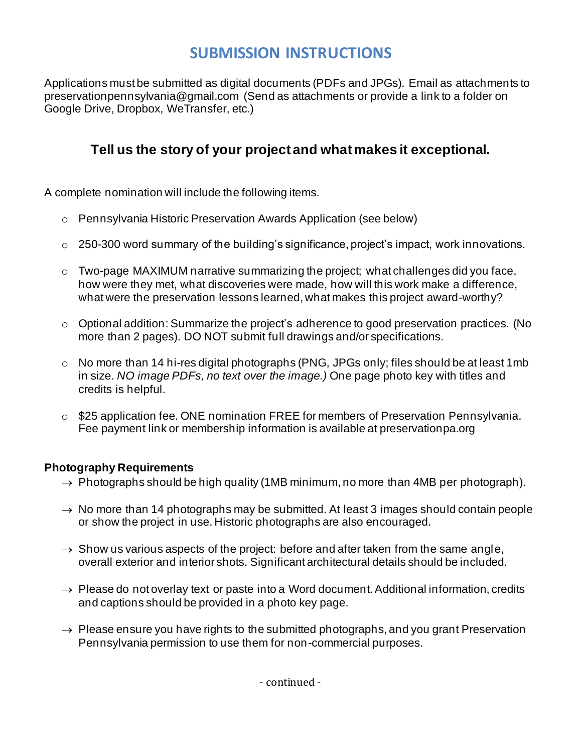# **SUBMISSION INSTRUCTIONS**

Applications must be submitted as digital documents (PDFs and JPGs). Email as attachments to preservationpennsylvania@gmail.com (Send as attachments or provide a link to a folder on Google Drive, Dropbox, WeTransfer, etc.)

# **Tell us the story of your project and what makes it exceptional.**

A complete nomination will include the following items.

- o Pennsylvania Historic Preservation Awards Application (see below)
- o 250-300 word summary of the building's significance, project's impact, work innovations.
- o Two-page MAXIMUM narrative summarizing the project; what challenges did you face, how were they met, what discoveries were made, how will this work make a difference, what were the preservation lessons learned, what makes this project award-worthy?
- o Optional addition: Summarize the project's adherence to good preservation practices. (No more than 2 pages). DO NOT submit full drawings and/or specifications.
- o No more than 14 hi-res digital photographs (PNG, JPGs only; files should be at least 1mb in size. *NO image PDFs, no text over the image.)* One page photo key with titles and credits is helpful.
- o \$25 application fee*.* ONE nomination FREE for members of Preservation Pennsylvania. Fee payment link or membership information is available at preservationpa.org

# **Photography Requirements**

- $\rightarrow$  Photographs should be high quality (1MB minimum, no more than 4MB per photograph).
- $\rightarrow$  No more than 14 photographs may be submitted. At least 3 images should contain people or show the project in use. Historic photographs are also encouraged.
- $\rightarrow$  Show us various aspects of the project: before and after taken from the same angle, overall exterior and interior shots. Significant architectural details should be included.
- $\rightarrow$  Please do not overlay text or paste into a Word document. Additional information, credits and captions should be provided in a photo key page.
- $\rightarrow$  Please ensure you have rights to the submitted photographs, and you grant Preservation Pennsylvania permission to use them for non-commercial purposes.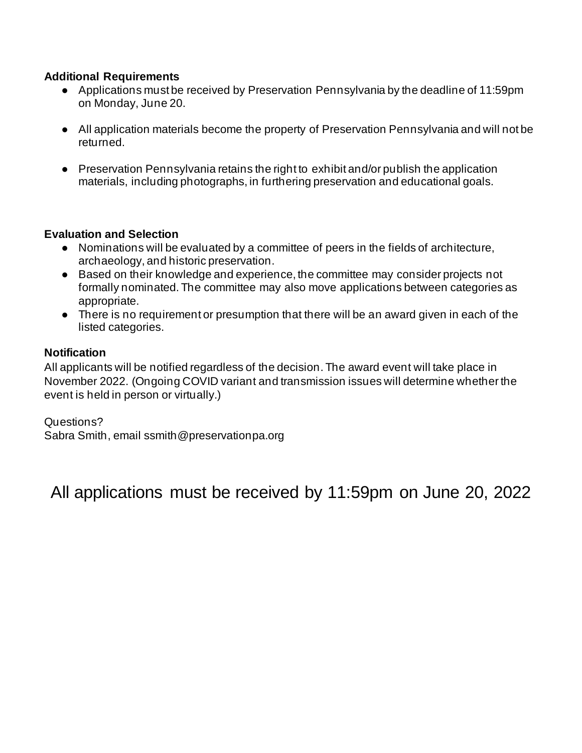# **Additional Requirements**

- Applications must be received by Preservation Pennsylvania by the deadline of 11:59pm on Monday, June 20.
- All application materials become the property of Preservation Pennsylvania and will not be returned.
- Preservation Pennsylvania retains the right to exhibit and/or publish the application materials, including photographs, in furthering preservation and educational goals.

# **Evaluation and Selection**

- Nominations will be evaluated by a committee of peers in the fields of architecture, archaeology, and historic preservation.
- Based on their knowledge and experience, the committee may consider projects not formally nominated. The committee may also move applications between categories as appropriate.
- There is no requirement or presumption that there will be an award given in each of the listed categories.

# **Notification**

All applicants will be notified regardless of the decision. The award event will take place in November 2022. (Ongoing COVID variant and transmission issues will determine whether the event is held in person or virtually.)

Questions? Sabra Smith, email ssmith@preservationpa.org

All applications must be received by 11:59pm on June 20, 2022